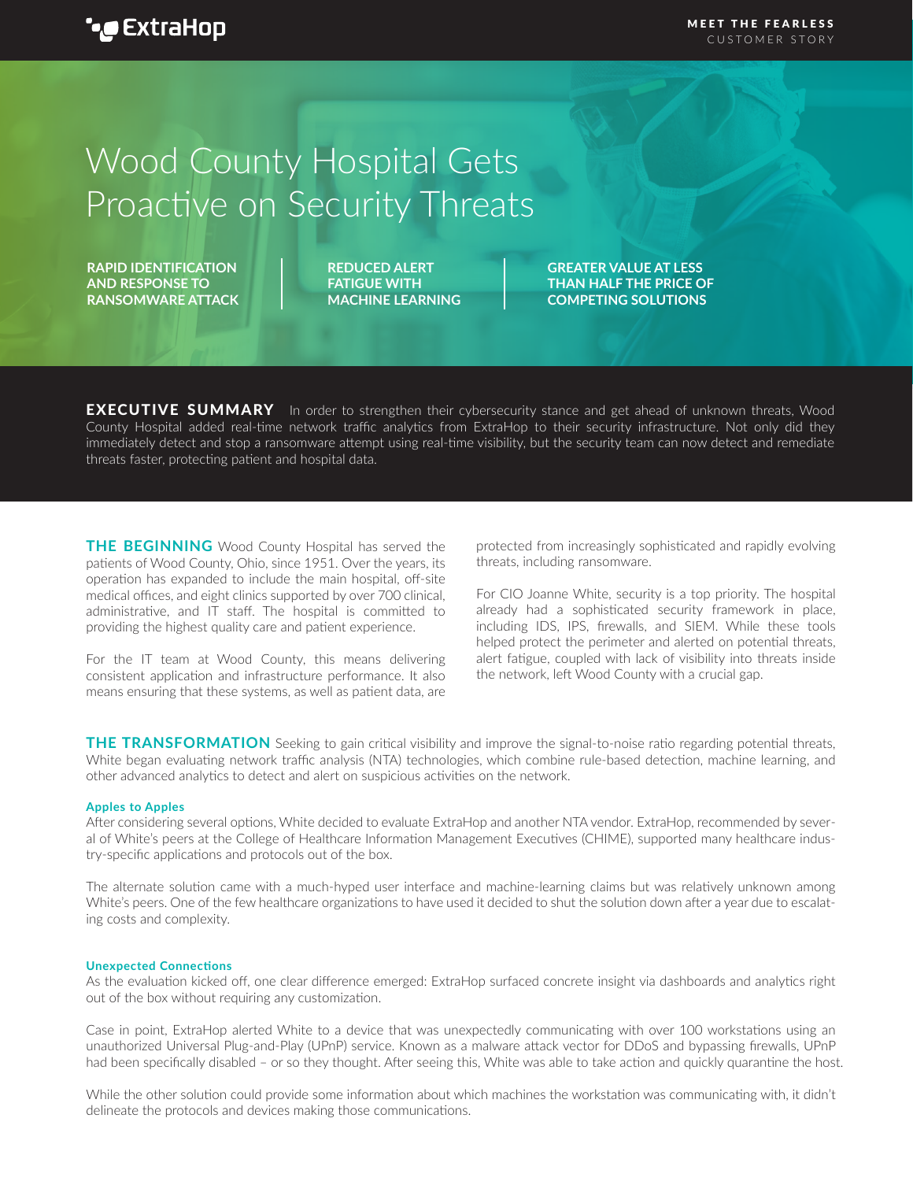# Wood County Hospital Gets Proactive on Security Threats

**RAPID IDENTIFICATION AND RESPONSE TO RANSOMWARE ATTACK** **REDUCED ALERT FATIGUE WITH MACHINE LEARNING** **GREATER VALUE AT LESS THAN HALF THE PRICE OF COMPETING SOLUTIONS**

**EXECUTIVE SUMMARY** In order to strengthen their cybersecurity stance and get ahead of unknown threats, Wood County Hospital added real-time network traffic analytics from ExtraHop to their security infrastructure. Not only did they immediately detect and stop a ransomware attempt using real-time visibility, but the security team can now detect and remediate threats faster, protecting patient and hospital data.

**THE BEGINNING** Wood County Hospital has served the patients of Wood County, Ohio, since 1951. Over the years, its operation has expanded to include the main hospital, off-site medical offices, and eight clinics supported by over 700 clinical, administrative, and IT staff. The hospital is committed to providing the highest quality care and patient experience.

For the IT team at Wood County, this means delivering consistent application and infrastructure performance. It also means ensuring that these systems, as well as patient data, are

protected from increasingly sophisticated and rapidly evolving threats, including ransomware.

For CIO Joanne White, security is a top priority. The hospital already had a sophisticated security framework in place, including IDS, IPS, firewalls, and SIEM. While these tools helped protect the perimeter and alerted on potential threats, alert fatigue, coupled with lack of visibility into threats inside the network, left Wood County with a crucial gap.

**THE TRANSFORMATION** Seeking to gain critical visibility and improve the signal-to-noise ratio regarding potential threats, White began evaluating network traffic analysis (NTA) technologies, which combine rule-based detection, machine learning, and other advanced analytics to detect and alert on suspicious activities on the network.

### **Apples to Apples**

After considering several options, White decided to evaluate ExtraHop and another NTA vendor. ExtraHop, recommended by several of White's peers at the College of Healthcare Information Management Executives (CHIME), supported many healthcare industry-specific applications and protocols out of the box.

The alternate solution came with a much-hyped user interface and machine-learning claims but was relatively unknown among White's peers. One of the few healthcare organizations to have used it decided to shut the solution down after a year due to escalating costs and complexity.

#### **Unexpected Connections**

As the evaluation kicked off, one clear difference emerged: ExtraHop surfaced concrete insight via dashboards and analytics right out of the box without requiring any customization.

Case in point, ExtraHop alerted White to a device that was unexpectedly communicating with over 100 workstations using an unauthorized Universal Plug-and-Play (UPnP) service. Known as a malware attack vector for DDoS and bypassing firewalls, UPnP had been specifically disabled – or so they thought. After seeing this, White was able to take action and quickly quarantine the host.

While the other solution could provide some information about which machines the workstation was communicating with, it didn't delineate the protocols and devices making those communications.